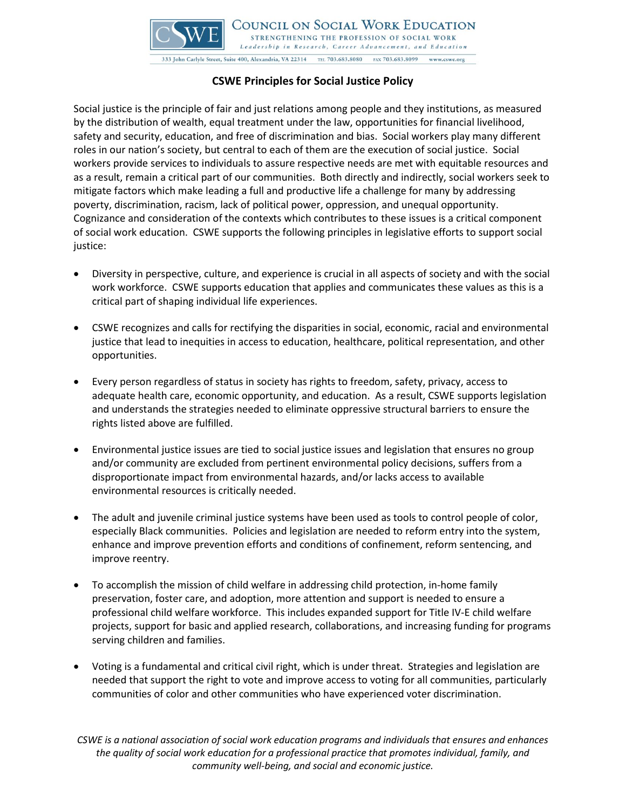

COUNCIL ON SOCIAL WORK EDUCATION STRENGTHENING THE PROFESSION OF SOCIAL WORK Leadership in Research, Career Advancement, and Education 333 John Carlyle Street, Suite 400, Alexandria, VA 22314 TEL 703.683.8080 FAX 703.683.8099 www.cswe.org

## **CSWE Principles for Social Justice Policy**

Social justice is the principle of fair and just relations among people and they institutions, as measured by the distribution of wealth, equal treatment under the law, opportunities for financial livelihood, safety and security, education, and free of discrimination and bias. Social workers play many different roles in our nation's society, but central to each of them are the execution of social justice. Social workers provide services to individuals to assure respective needs are met with equitable resources and as a result, remain a critical part of our communities. Both directly and indirectly, social workers seek to mitigate factors which make leading a full and productive life a challenge for many by addressing poverty, discrimination, racism, lack of political power, oppression, and unequal opportunity. Cognizance and consideration of the contexts which contributes to these issues is a critical component of social work education. CSWE supports the following principles in legislative efforts to support social justice:

- Diversity in perspective, culture, and experience is crucial in all aspects of society and with the social work workforce. CSWE supports education that applies and communicates these values as this is a critical part of shaping individual life experiences.
- CSWE recognizes and calls for rectifying the disparities in social, economic, racial and environmental justice that lead to inequities in access to education, healthcare, political representation, and other opportunities.
- Every person regardless of status in society has rights to freedom, safety, privacy, access to adequate health care, economic opportunity, and education. As a result, CSWE supports legislation and understands the strategies needed to eliminate oppressive structural barriers to ensure the rights listed above are fulfilled.
- Environmental justice issues are tied to social justice issues and legislation that ensures no group and/or community are excluded from pertinent environmental policy decisions, suffers from a disproportionate impact from environmental hazards, and/or lacks access to available environmental resources is critically needed.
- The adult and juvenile criminal justice systems have been used as tools to control people of color, especially Black communities. Policies and legislation are needed to reform entry into the system, enhance and improve prevention efforts and conditions of confinement, reform sentencing, and improve reentry.
- To accomplish the mission of child welfare in addressing child protection, in-home family preservation, foster care, and adoption, more attention and support is needed to ensure a professional child welfare workforce. This includes expanded support for Title IV-E child welfare projects, support for basic and applied research, collaborations, and increasing funding for programs serving children and families.
- Voting is a fundamental and critical civil right, which is under threat. Strategies and legislation are needed that support the right to vote and improve access to voting for all communities, particularly communities of color and other communities who have experienced voter discrimination.

*CSWE is a national association of social work education programs and individuals that ensures and enhances the quality of social work education for a professional practice that promotes individual, family, and community well-being, and social and economic justice.*